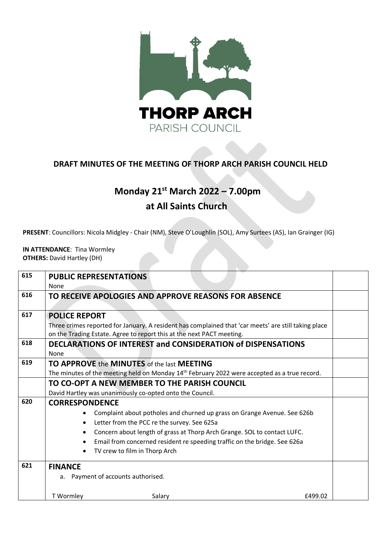

## **DRAFT MINUTES OF THE MEETING OF THORP ARCH PARISH COUNCIL HELD**

## **Monday 21st March 2022 – 7.00pm at All Saints Church**

**PRESENT**: Councillors: Nicola Midgley - Chair (NM), Steve O'Loughlin (SOL), Amy Surtees (AS), Ian Grainger (IG)

**IN ATTENDANCE**: Tina Wormley **OTHERS:** David Hartley (DH)

| 615 | <b>PUBLIC REPRESENTATIONS</b><br>None                                                                                                                                         |  |
|-----|-------------------------------------------------------------------------------------------------------------------------------------------------------------------------------|--|
| 616 | TO RECEIVE APOLOGIES AND APPROVE REASONS FOR ABSENCE                                                                                                                          |  |
| 617 | <b>POLICE REPORT</b>                                                                                                                                                          |  |
|     | Three crimes reported for January. A resident has complained that 'car meets' are still taking place<br>on the Trading Estate. Agree to report this at the next PACT meeting. |  |
| 618 | DECLARATIONS OF INTEREST and CONSIDERATION of DISPENSATIONS                                                                                                                   |  |
|     | None                                                                                                                                                                          |  |
| 619 | TO APPROVE the MINUTES of the last MEETING                                                                                                                                    |  |
|     | The minutes of the meeting held on Monday $14th$ February 2022 were accepted as a true record.                                                                                |  |
|     | TO CO-OPT A NEW MEMBER TO THE PARISH COUNCIL                                                                                                                                  |  |
|     | David Hartley was unanimously co-opted onto the Council.                                                                                                                      |  |
| 620 | <b>CORRESPONDENCE</b>                                                                                                                                                         |  |
|     | Complaint about potholes and churned up grass on Grange Avenue. See 626b                                                                                                      |  |
|     | Letter from the PCC re the survey. See 625a                                                                                                                                   |  |
|     | Concern about length of grass at Thorp Arch Grange. SOL to contact LUFC.                                                                                                      |  |
|     | Email from concerned resident re speeding traffic on the bridge. See 626a                                                                                                     |  |
|     | TV crew to film in Thorp Arch                                                                                                                                                 |  |
| 621 | <b>FINANCE</b>                                                                                                                                                                |  |
|     | a. Payment of accounts authorised.                                                                                                                                            |  |
|     | T Wormley<br>Salary<br>£499.02                                                                                                                                                |  |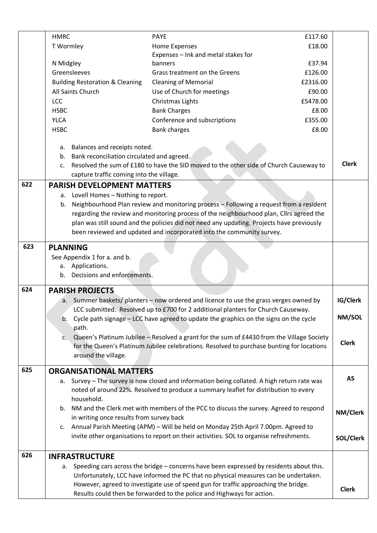|     | <b>HMRC</b>                                                                       | <b>PAYE</b>                                                                                                                                                                 | £117.60  |              |
|-----|-----------------------------------------------------------------------------------|-----------------------------------------------------------------------------------------------------------------------------------------------------------------------------|----------|--------------|
|     | T Wormley                                                                         | Home Expenses                                                                                                                                                               | £18.00   |              |
|     |                                                                                   | Expenses - Ink and metal stakes for                                                                                                                                         |          |              |
|     | N Midgley                                                                         | banners                                                                                                                                                                     | £37.94   |              |
|     | Greensleeves                                                                      | Grass treatment on the Greens                                                                                                                                               | £126.00  |              |
|     | <b>Building Restoration &amp; Cleaning</b>                                        | <b>Cleaning of Memorial</b>                                                                                                                                                 | £2316.00 |              |
|     | All Saints Church                                                                 | Use of Church for meetings                                                                                                                                                  | £90.00   |              |
|     | LCC                                                                               | Christmas Lights                                                                                                                                                            | £5478.00 |              |
|     | <b>HSBC</b>                                                                       | <b>Bank Charges</b>                                                                                                                                                         | £8.00    |              |
|     | <b>YLCA</b>                                                                       | Conference and subscriptions                                                                                                                                                | £355.00  |              |
|     | <b>HSBC</b>                                                                       | <b>Bank charges</b>                                                                                                                                                         | £8.00    |              |
|     |                                                                                   |                                                                                                                                                                             |          |              |
|     | a. Balances and receipts noted.                                                   |                                                                                                                                                                             |          |              |
|     | Bank reconciliation circulated and agreed.<br>b.                                  |                                                                                                                                                                             |          |              |
|     | $C_{\star}$                                                                       | Resolved the sum of £180 to have the SID moved to the other side of Church Causeway to                                                                                      |          | <b>Clerk</b> |
|     | capture traffic coming into the village.                                          |                                                                                                                                                                             |          |              |
| 622 | <b>PARISH DEVELOPMENT MATTERS</b>                                                 |                                                                                                                                                                             |          |              |
|     | a. Lovell Homes - Nothing to report.                                              |                                                                                                                                                                             |          |              |
|     | b.                                                                                | Neighbourhood Plan review and monitoring process - Following a request from a resident                                                                                      |          |              |
|     |                                                                                   | regarding the review and monitoring process of the neighbourhood plan, Cllrs agreed the                                                                                     |          |              |
|     |                                                                                   | plan was still sound and the policies did not need any updating. Projects have previously                                                                                   |          |              |
|     |                                                                                   | been reviewed and updated and incorporated into the community survey.                                                                                                       |          |              |
| 623 | <b>PLANNING</b>                                                                   |                                                                                                                                                                             |          |              |
|     | See Appendix 1 for a. and b.                                                      |                                                                                                                                                                             |          |              |
|     | a. Applications.                                                                  |                                                                                                                                                                             |          |              |
|     | b. Decisions and enforcements.                                                    |                                                                                                                                                                             |          |              |
|     |                                                                                   |                                                                                                                                                                             |          |              |
| 624 | <b>PARISH PROJECTS</b>                                                            |                                                                                                                                                                             |          |              |
|     |                                                                                   | a. Summer baskets/ planters - now ordered and licence to use the grass verges owned by                                                                                      |          | IG/Clerk     |
|     | LCC submitted. Resolved up to £700 for 2 additional planters for Church Causeway. |                                                                                                                                                                             |          |              |
|     | b.                                                                                | Cycle path signage - LCC have agreed to update the graphics on the signs on the cycle                                                                                       |          | NM/SOL       |
|     | path.                                                                             |                                                                                                                                                                             |          |              |
|     | C.                                                                                | Queen's Platinum Jubilee - Resolved a grant for the sum of £4430 from the Village Society                                                                                   |          |              |
|     |                                                                                   | for the Queen's Platinum Jubilee celebrations. Resolved to purchase bunting for locations                                                                                   |          | <b>Clerk</b> |
|     | around the village.                                                               |                                                                                                                                                                             |          |              |
| 625 | <b>ORGANISATIONAL MATTERS</b>                                                     |                                                                                                                                                                             |          |              |
|     |                                                                                   | Survey - The survey is now closed and information being collated. A high return rate was                                                                                    |          | AS           |
|     | а.                                                                                | noted of around 22%. Resolved to produce a summary leaflet for distribution to every                                                                                        |          |              |
|     | household.                                                                        |                                                                                                                                                                             |          |              |
|     |                                                                                   | b. NM and the Clerk met with members of the PCC to discuss the survey. Agreed to respond                                                                                    |          |              |
|     | in writing once results from survey back                                          |                                                                                                                                                                             |          | NM/Clerk     |
|     | c.                                                                                | Annual Parish Meeting (APM) - Will be held on Monday 25th April 7.00pm. Agreed to                                                                                           |          |              |
|     |                                                                                   | invite other organisations to report on their activities. SOL to organise refreshments.                                                                                     |          |              |
|     |                                                                                   |                                                                                                                                                                             |          | SOL/Clerk    |
| 626 | <b>INFRASTRUCTURE</b>                                                             |                                                                                                                                                                             |          |              |
|     |                                                                                   |                                                                                                                                                                             |          |              |
|     |                                                                                   | a. Speeding cars across the bridge - concerns have been expressed by residents about this.                                                                                  |          |              |
|     |                                                                                   | Unfortunately, LCC have informed the PC that no physical measures can be undertaken.<br>However, agreed to investigate use of speed gun for traffic approaching the bridge. |          |              |
|     |                                                                                   | Results could then be forwarded to the police and Highways for action.                                                                                                      |          | <b>Clerk</b> |
|     |                                                                                   |                                                                                                                                                                             |          |              |